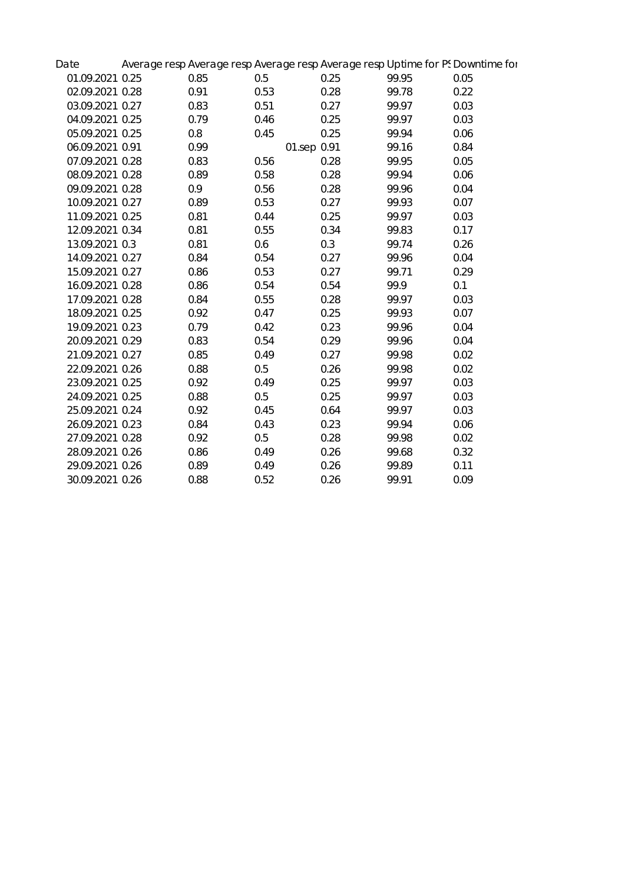| Date            |      |             |      |       | Average resp Average resp Average resp Average resp Uptime for PS Downtime for |
|-----------------|------|-------------|------|-------|--------------------------------------------------------------------------------|
| 01.09.2021 0.25 | 0.85 | 0.5         | 0.25 | 99.95 | 0.05                                                                           |
| 02.09.2021 0.28 | 0.91 | 0.53        | 0.28 | 99.78 | 0.22                                                                           |
| 03.09.2021 0.27 | 0.83 | 0.51        | 0.27 | 99.97 | 0.03                                                                           |
| 04.09.2021 0.25 | 0.79 | 0.46        | 0.25 | 99.97 | 0.03                                                                           |
| 05.09.2021 0.25 | 0.8  | 0.45        | 0.25 | 99.94 | 0.06                                                                           |
| 06.09.2021 0.91 | 0.99 | 01.sep 0.91 |      | 99.16 | 0.84                                                                           |
| 07.09.2021 0.28 | 0.83 | 0.56        | 0.28 | 99.95 | 0.05                                                                           |
| 08.09.2021 0.28 | 0.89 | 0.58        | 0.28 | 99.94 | 0.06                                                                           |
| 09.09.2021 0.28 | 0.9  | 0.56        | 0.28 | 99.96 | 0.04                                                                           |
| 10.09.2021 0.27 | 0.89 | 0.53        | 0.27 | 99.93 | 0.07                                                                           |
| 11.09.2021 0.25 | 0.81 | 0.44        | 0.25 | 99.97 | 0.03                                                                           |
| 12.09.2021 0.34 | 0.81 | 0.55        | 0.34 | 99.83 | 0.17                                                                           |
| 13.09.2021 0.3  | 0.81 | 0.6         | 0.3  | 99.74 | 0.26                                                                           |
| 14.09.2021 0.27 | 0.84 | 0.54        | 0.27 | 99.96 | 0.04                                                                           |
| 15.09.2021 0.27 | 0.86 | 0.53        | 0.27 | 99.71 | 0.29                                                                           |
| 16.09.2021 0.28 | 0.86 | 0.54        | 0.54 | 99.9  | 0.1                                                                            |
| 17.09.2021 0.28 | 0.84 | 0.55        | 0.28 | 99.97 | 0.03                                                                           |
| 18.09.2021 0.25 | 0.92 | 0.47        | 0.25 | 99.93 | 0.07                                                                           |
| 19.09.2021 0.23 | 0.79 | 0.42        | 0.23 | 99.96 | 0.04                                                                           |
| 20.09.2021 0.29 | 0.83 | 0.54        | 0.29 | 99.96 | 0.04                                                                           |
| 21.09.2021 0.27 | 0.85 | 0.49        | 0.27 | 99.98 | 0.02                                                                           |
| 22.09.2021 0.26 | 0.88 | $0.5\,$     | 0.26 | 99.98 | 0.02                                                                           |
| 23.09.2021 0.25 | 0.92 | 0.49        | 0.25 | 99.97 | 0.03                                                                           |
| 24.09.2021 0.25 | 0.88 | $0.5\,$     | 0.25 | 99.97 | 0.03                                                                           |
| 25.09.2021 0.24 | 0.92 | 0.45        | 0.64 | 99.97 | 0.03                                                                           |
| 26.09.2021 0.23 | 0.84 | 0.43        | 0.23 | 99.94 | 0.06                                                                           |
| 27.09.2021 0.28 | 0.92 | $0.5\,$     | 0.28 | 99.98 | 0.02                                                                           |
| 28.09.2021 0.26 | 0.86 | 0.49        | 0.26 | 99.68 | 0.32                                                                           |
| 29.09.2021 0.26 | 0.89 | 0.49        | 0.26 | 99.89 | 0.11                                                                           |
| 30.09.2021 0.26 | 0.88 | 0.52        | 0.26 | 99.91 | 0.09                                                                           |